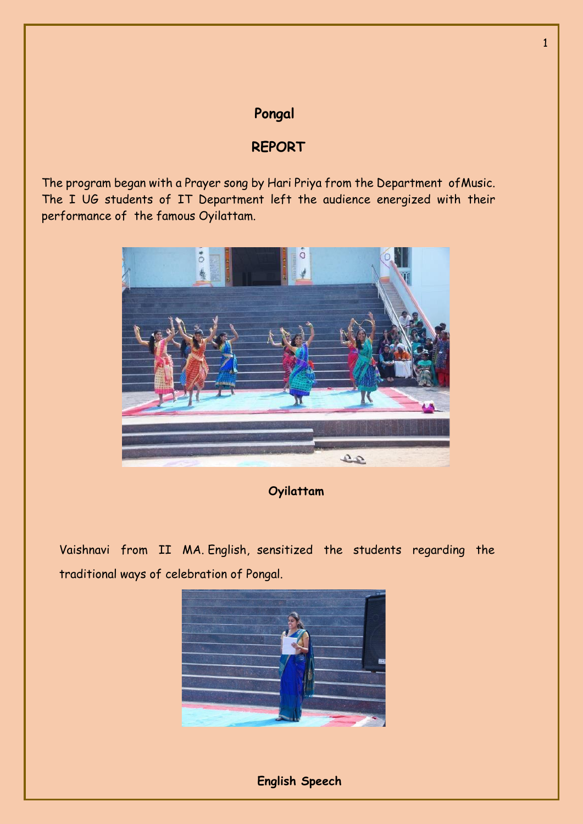## **Pongal**

## **REPORT**

The program began with a Prayer song by Hari Priya from the Department ofMusic. The I UG students of IT Department left the audience energized with their performance of the famous Oyilattam.



**Oyilattam**

Vaishnavi from II MA. English, sensitized the students regarding the traditional ways of celebration of Pongal.



 **English Speech**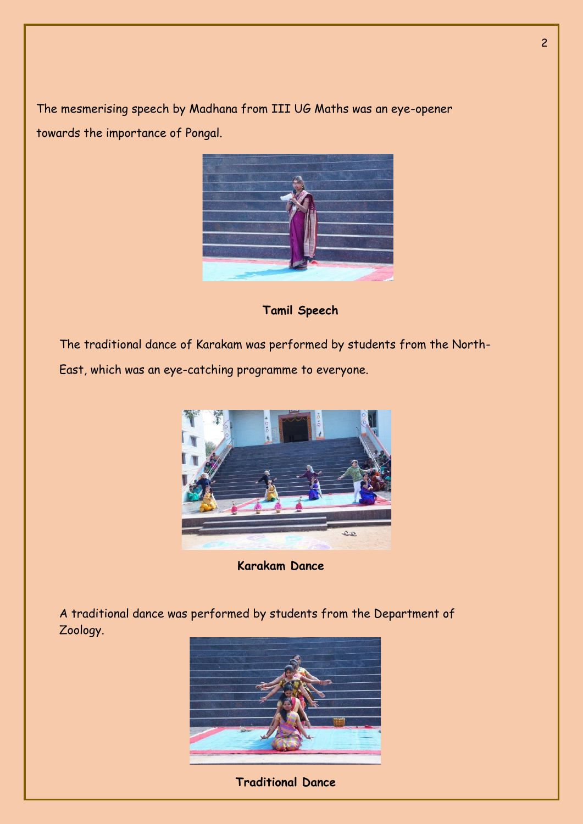The mesmerising speech by Madhana from III UG Maths was an eye-opener towards the importance of Pongal.



 **Tamil Speech**

The traditional dance of Karakam was performed by students from the North-

East, which was an eye-catching programme to everyone.



**Karakam Dance**

A traditional dance was performed by students from the Department of Zoology.



**Traditional Dance**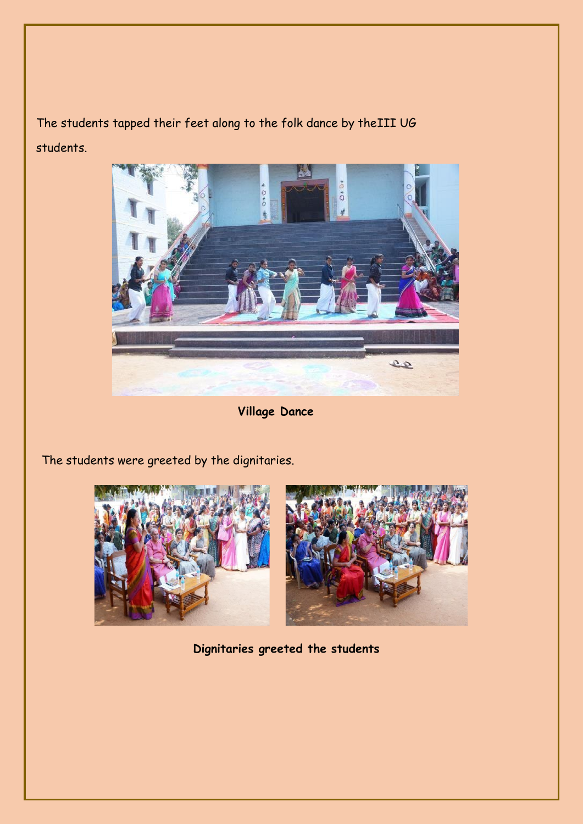The students tapped their feet along to the folk dance by theIII UG students.



**Village Dance**

The students were greeted by the dignitaries.



**Dignitaries greeted the students**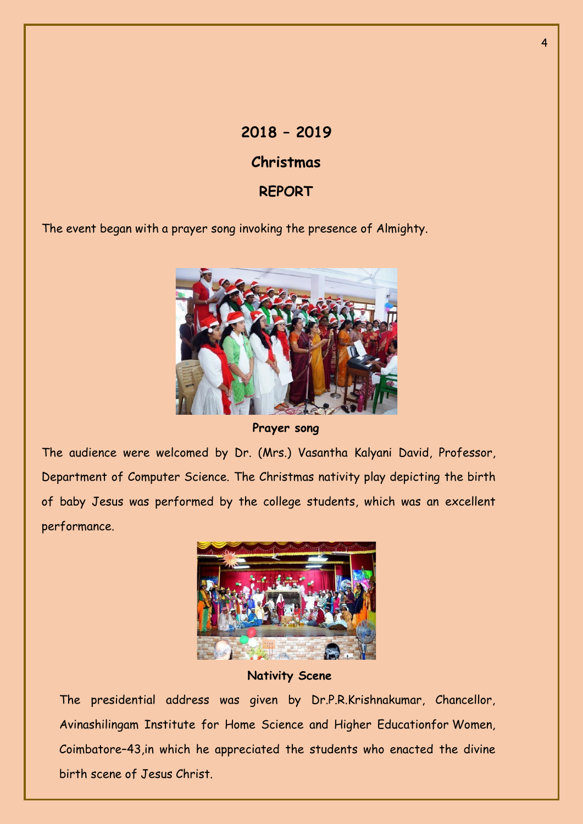## **2018 – 2019 Christmas REPORT**

The event began with a prayer song invoking the presence of Almighty.



**Prayer song**

The audience were welcomed by Dr. (Mrs.) Vasantha Kalyani David, Professor, Department of Computer Science. The Christmas nativity play depicting the birth of baby Jesus was performed by the college students, which was an excellent performance.



**Nativity Scene**

The presidential address was given by Dr.P.R.Krishnakumar, Chancellor, Avinashilingam Institute for Home Science and Higher Educationfor Women, Coimbatore–43,in which he appreciated the students who enacted the divine birth scene of Jesus Christ.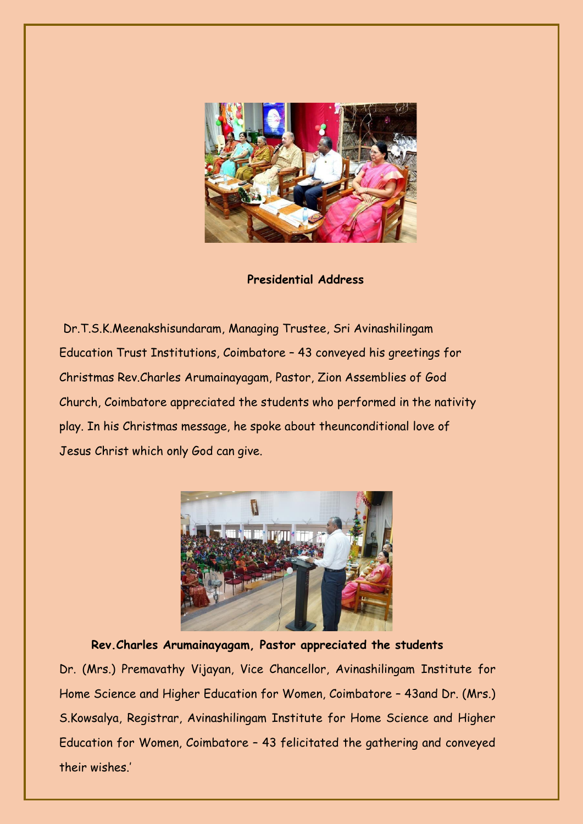

 **Presidential Address**

Dr.T.S.K.Meenakshisundaram, Managing Trustee, Sri Avinashilingam Education Trust Institutions, Coimbatore – 43 conveyed his greetings for Christmas Rev.Charles Arumainayagam, Pastor, Zion Assemblies of God Church, Coimbatore appreciated the students who performed in the nativity play. In his Christmas message, he spoke about theunconditional love of Jesus Christ which only God can give.



**Rev.Charles Arumainayagam, Pastor appreciated the students** Dr. (Mrs.) Premavathy Vijayan, Vice Chancellor, Avinashilingam Institute for Home Science and Higher Education for Women, Coimbatore – 43and Dr. (Mrs.) S.Kowsalya, Registrar, Avinashilingam Institute for Home Science and Higher Education for Women, Coimbatore – 43 felicitated the gathering and conveyed their wishes.'